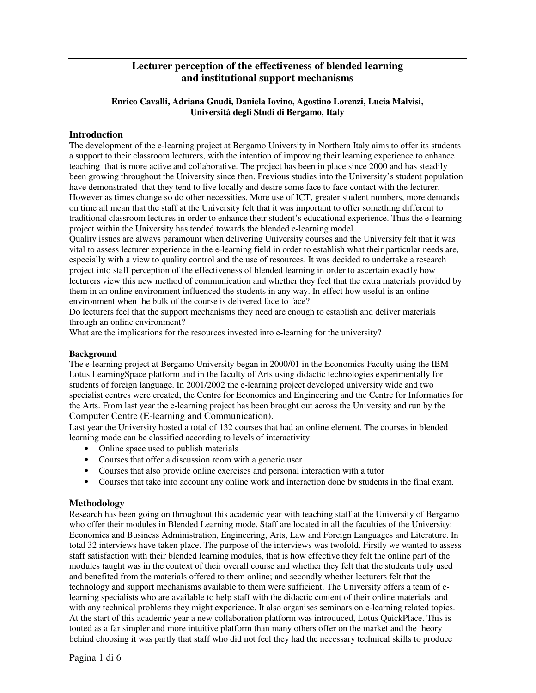# **Lecturer perception of the effectiveness of blended learning and institutional support mechanisms**

# **Enrico Cavalli, Adriana Gnudi, Daniela Iovino, Agostino Lorenzi, Lucia Malvisi, Università degli Studi di Bergamo, Italy**

# **Introduction**

The development of the e-learning project at Bergamo University in Northern Italy aims to offer its students a support to their classroom lecturers, with the intention of improving their learning experience to enhance teaching that is more active and collaborative. The project has been in place since 2000 and has steadily been growing throughout the University since then. Previous studies into the University's student population have demonstrated that they tend to live locally and desire some face to face contact with the lecturer. However as times change so do other necessities. More use of ICT, greater student numbers, more demands on time all mean that the staff at the University felt that it was important to offer something different to traditional classroom lectures in order to enhance their student's educational experience. Thus the e-learning project within the University has tended towards the blended e-learning model.

Quality issues are always paramount when delivering University courses and the University felt that it was vital to assess lecturer experience in the e-learning field in order to establish what their particular needs are, especially with a view to quality control and the use of resources. It was decided to undertake a research project into staff perception of the effectiveness of blended learning in order to ascertain exactly how lecturers view this new method of communication and whether they feel that the extra materials provided by them in an online environment influenced the students in any way. In effect how useful is an online environment when the bulk of the course is delivered face to face?

Do lecturers feel that the support mechanisms they need are enough to establish and deliver materials through an online environment?

What are the implications for the resources invested into e-learning for the university?

# **Background**

The e-learning project at Bergamo University began in 2000/01 in the Economics Faculty using the IBM Lotus LearningSpace platform and in the faculty of Arts using didactic technologies experimentally for students of foreign language. In 2001/2002 the e-learning project developed university wide and two specialist centres were created, the Centre for Economics and Engineering and the Centre for Informatics for the Arts. From last year the e-learning project has been brought out across the University and run by the Computer Centre (E-learning and Communication).

Last year the University hosted a total of 132 courses that had an online element. The courses in blended learning mode can be classified according to levels of interactivity:

- Online space used to publish materials
- Courses that offer a discussion room with a generic user
- Courses that also provide online exercises and personal interaction with a tutor
- Courses that take into account any online work and interaction done by students in the final exam.

# **Methodology**

Research has been going on throughout this academic year with teaching staff at the University of Bergamo who offer their modules in Blended Learning mode. Staff are located in all the faculties of the University: Economics and Business Administration, Engineering, Arts, Law and Foreign Languages and Literature. In total 32 interviews have taken place. The purpose of the interviews was twofold. Firstly we wanted to assess staff satisfaction with their blended learning modules, that is how effective they felt the online part of the modules taught was in the context of their overall course and whether they felt that the students truly used and benefited from the materials offered to them online; and secondly whether lecturers felt that the technology and support mechanisms available to them were sufficient. The University offers a team of elearning specialists who are available to help staff with the didactic content of their online materials and with any technical problems they might experience. It also organises seminars on e-learning related topics. At the start of this academic year a new collaboration platform was introduced, Lotus QuickPlace. This is touted as a far simpler and more intuitive platform than many others offer on the market and the theory behind choosing it was partly that staff who did not feel they had the necessary technical skills to produce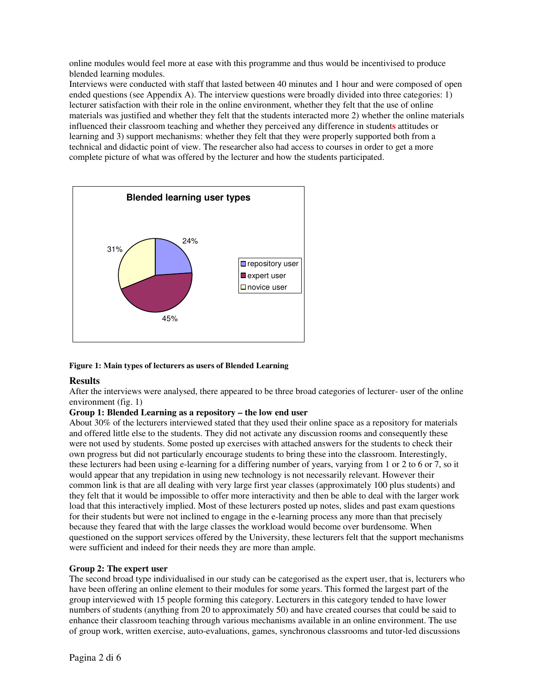online modules would feel more at ease with this programme and thus would be incentivised to produce blended learning modules.

Interviews were conducted with staff that lasted between 40 minutes and 1 hour and were composed of open ended questions (see Appendix A). The interview questions were broadly divided into three categories: 1) lecturer satisfaction with their role in the online environment, whether they felt that the use of online materials was justified and whether they felt that the students interacted more 2) whether the online materials influenced their classroom teaching and whether they perceived any difference in student**s** attitudes or learning and 3) support mechanisms: whether they felt that they were properly supported both from a technical and didactic point of view. The researcher also had access to courses in order to get a more complete picture of what was offered by the lecturer and how the students participated.



### **Figure 1: Main types of lecturers as users of Blended Learning**

# **Results**

After the interviews were analysed, there appeared to be three broad categories of lecturer- user of the online environment (fig. 1)

### **Group 1: Blended Learning as a repository – the low end user**

About 30% of the lecturers interviewed stated that they used their online space as a repository for materials and offered little else to the students. They did not activate any discussion rooms and consequently these were not used by students. Some posted up exercises with attached answers for the students to check their own progress but did not particularly encourage students to bring these into the classroom. Interestingly, these lecturers had been using e-learning for a differing number of years, varying from 1 or 2 to 6 or 7, so it would appear that any trepidation in using new technology is not necessarily relevant. However their common link is that are all dealing with very large first year classes (approximately 100 plus students) and they felt that it would be impossible to offer more interactivity and then be able to deal with the larger work load that this interactively implied. Most of these lecturers posted up notes, slides and past exam questions for their students but were not inclined to engage in the e-learning process any more than that precisely because they feared that with the large classes the workload would become over burdensome. When questioned on the support services offered by the University, these lecturers felt that the support mechanisms were sufficient and indeed for their needs they are more than ample.

### **Group 2: The expert user**

The second broad type individualised in our study can be categorised as the expert user, that is, lecturers who have been offering an online element to their modules for some years. This formed the largest part of the group interviewed with 15 people forming this category. Lecturers in this category tended to have lower numbers of students (anything from 20 to approximately 50) and have created courses that could be said to enhance their classroom teaching through various mechanisms available in an online environment. The use of group work, written exercise, auto-evaluations, games, synchronous classrooms and tutor-led discussions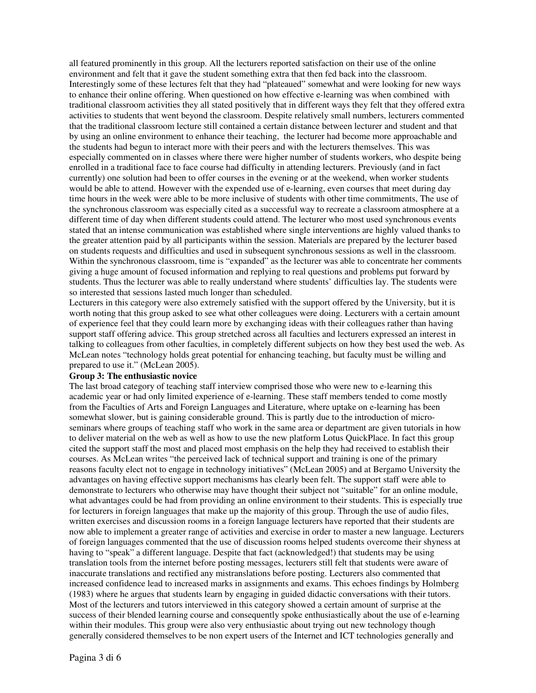all featured prominently in this group. All the lecturers reported satisfaction on their use of the online environment and felt that it gave the student something extra that then fed back into the classroom. Interestingly some of these lectures felt that they had "plateaued" somewhat and were looking for new ways to enhance their online offering. When questioned on how effective e-learning was when combined with traditional classroom activities they all stated positively that in different ways they felt that they offered extra activities to students that went beyond the classroom. Despite relatively small numbers, lecturers commented that the traditional classroom lecture still contained a certain distance between lecturer and student and that by using an online environment to enhance their teaching, the lecturer had become more approachable and the students had begun to interact more with their peers and with the lecturers themselves. This was especially commented on in classes where there were higher number of students workers, who despite being enrolled in a traditional face to face course had difficulty in attending lecturers. Previously (and in fact currently) one solution had been to offer courses in the evening or at the weekend, when worker students would be able to attend. However with the expended use of e-learning, even courses that meet during day time hours in the week were able to be more inclusive of students with other time commitments, The use of the synchronous classroom was especially cited as a successful way to recreate a classroom atmosphere at a different time of day when different students could attend. The lecturer who most used synchronous events stated that an intense communication was established where single interventions are highly valued thanks to the greater attention paid by all participants within the session. Materials are prepared by the lecturer based on students requests and difficulties and used in subsequent synchronous sessions as well in the classroom. Within the synchronous classroom, time is "expanded" as the lecturer was able to concentrate her comments giving a huge amount of focused information and replying to real questions and problems put forward by students. Thus the lecturer was able to really understand where students' difficulties lay. The students were so interested that sessions lasted much longer than scheduled.

Lecturers in this category were also extremely satisfied with the support offered by the University, but it is worth noting that this group asked to see what other colleagues were doing. Lecturers with a certain amount of experience feel that they could learn more by exchanging ideas with their colleagues rather than having support staff offering advice. This group stretched across all faculties and lecturers expressed an interest in talking to colleagues from other faculties, in completely different subjects on how they best used the web. As McLean notes "technology holds great potential for enhancing teaching, but faculty must be willing and prepared to use it." (McLean 2005).

### **Group 3: The enthusiastic novice**

The last broad category of teaching staff interview comprised those who were new to e-learning this academic year or had only limited experience of e-learning. These staff members tended to come mostly from the Faculties of Arts and Foreign Languages and Literature, where uptake on e-learning has been somewhat slower, but is gaining considerable ground. This is partly due to the introduction of microseminars where groups of teaching staff who work in the same area or department are given tutorials in how to deliver material on the web as well as how to use the new platform Lotus QuickPlace. In fact this group cited the support staff the most and placed most emphasis on the help they had received to establish their courses. As McLean writes "the perceived lack of technical support and training is one of the primary reasons faculty elect not to engage in technology initiatives" (McLean 2005) and at Bergamo University the advantages on having effective support mechanisms has clearly been felt. The support staff were able to demonstrate to lecturers who otherwise may have thought their subject not "suitable" for an online module, what advantages could be had from providing an online environment to their students. This is especially true for lecturers in foreign languages that make up the majority of this group. Through the use of audio files, written exercises and discussion rooms in a foreign language lecturers have reported that their students are now able to implement a greater range of activities and exercise in order to master a new language. Lecturers of foreign languages commented that the use of discussion rooms helped students overcome their shyness at having to "speak" a different language. Despite that fact (acknowledged!) that students may be using translation tools from the internet before posting messages, lecturers still felt that students were aware of inaccurate translations and rectified any mistranslations before posting. Lecturers also commented that increased confidence lead to increased marks in assignments and exams. This echoes findings by Holmberg (1983) where he argues that students learn by engaging in guided didactic conversations with their tutors. Most of the lecturers and tutors interviewed in this category showed a certain amount of surprise at the success of their blended learning course and consequently spoke enthusiastically about the use of e-learning within their modules. This group were also very enthusiastic about trying out new technology though generally considered themselves to be non expert users of the Internet and ICT technologies generally and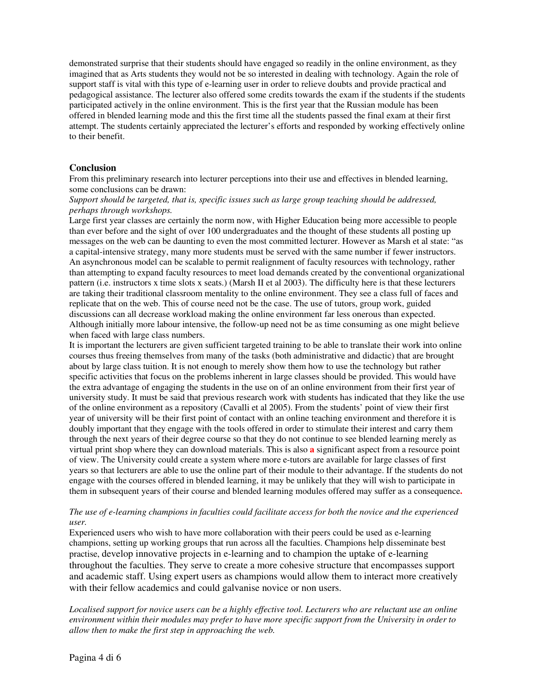demonstrated surprise that their students should have engaged so readily in the online environment, as they imagined that as Arts students they would not be so interested in dealing with technology. Again the role of support staff is vital with this type of e-learning user in order to relieve doubts and provide practical and pedagogical assistance. The lecturer also offered some credits towards the exam if the students if the students participated actively in the online environment. This is the first year that the Russian module has been offered in blended learning mode and this the first time all the students passed the final exam at their first attempt. The students certainly appreciated the lecturer's efforts and responded by working effectively online to their benefit.

# **Conclusion**

From this preliminary research into lecturer perceptions into their use and effectives in blended learning, some conclusions can be drawn:

### *Support should be targeted, that is, specific issues such as large group teaching should be addressed, perhaps through workshops.*

Large first year classes are certainly the norm now, with Higher Education being more accessible to people than ever before and the sight of over 100 undergraduates and the thought of these students all posting up messages on the web can be daunting to even the most committed lecturer. However as Marsh et al state: "as a capital-intensive strategy, many more students must be served with the same number if fewer instructors. An asynchronous model can be scalable to permit realignment of faculty resources with technology, rather than attempting to expand faculty resources to meet load demands created by the conventional organizational pattern (i.e. instructors x time slots x seats.) (Marsh II et al 2003). The difficulty here is that these lecturers are taking their traditional classroom mentality to the online environment. They see a class full of faces and replicate that on the web. This of course need not be the case. The use of tutors, group work, guided discussions can all decrease workload making the online environment far less onerous than expected. Although initially more labour intensive, the follow-up need not be as time consuming as one might believe when faced with large class numbers.

It is important the lecturers are given sufficient targeted training to be able to translate their work into online courses thus freeing themselves from many of the tasks (both administrative and didactic) that are brought about by large class tuition. It is not enough to merely show them how to use the technology but rather specific activities that focus on the problems inherent in large classes should be provided. This would have the extra advantage of engaging the students in the use on of an online environment from their first year of university study. It must be said that previous research work with students has indicated that they like the use of the online environment as a repository (Cavalli et al 2005). From the students' point of view their first year of university will be their first point of contact with an online teaching environment and therefore it is doubly important that they engage with the tools offered in order to stimulate their interest and carry them through the next years of their degree course so that they do not continue to see blended learning merely as virtual print shop where they can download materials. This is also **a** significant aspect from a resource point of view. The University could create a system where more e-tutors are available for large classes of first years so that lecturers are able to use the online part of their module to their advantage. If the students do not engage with the courses offered in blended learning, it may be unlikely that they will wish to participate in them in subsequent years of their course and blended learning modules offered may suffer as a consequence**.**

### The use of e-learning champions in faculties could facilitate access for both the novice and the experienced *user.*

Experienced users who wish to have more collaboration with their peers could be used as e-learning champions, setting up working groups that run across all the faculties. Champions help disseminate best practise, develop innovative projects in e-learning and to champion the uptake of e-learning throughout the faculties. They serve to create a more cohesive structure that encompasses support and academic staff. Using expert users as champions would allow them to interact more creatively with their fellow academics and could galvanise novice or non users.

Localised support for novice users can be a highly effective tool. Lecturers who are reluctant use an online *environment within their modules may prefer to have more specific support from the University in order to allow then to make the first step in approaching the web.*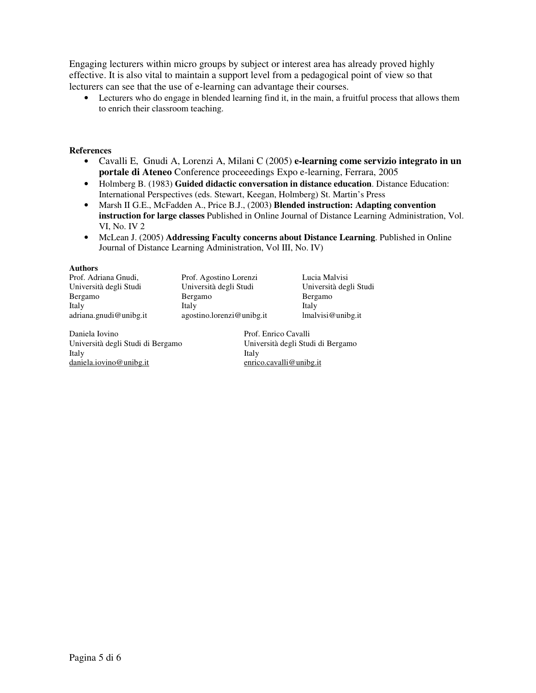Engaging lecturers within micro groups by subject or interest area has already proved highly effective. It is also vital to maintain a support level from a pedagogical point of view so that lecturers can see that the use of e-learning can advantage their courses.

• Lecturers who do engage in blended learning find it, in the main, a fruitful process that allows them to enrich their classroom teaching.

### **References**

- Cavalli E, Gnudi A, Lorenzi A, Milani C (2005) **e-learning come servizio integrato in un portale di Ateneo** Conference proceeedings Expo e-learning, Ferrara, 2005
- Holmberg B. (1983) **Guided didactic conversation in distance education**. Distance Education: International Perspectives (eds. Stewart, Keegan, Holmberg) St. Martin's Press
- Marsh II G.E., McFadden A., Price B.J., (2003) **Blended instruction: Adapting convention instruction for large classes** Published in Online Journal of Distance Learning Administration, Vol. VI, No. IV 2
- McLean J. (2005) **Addressing Faculty concerns about Distance Learning**. Published in Online Journal of Distance Learning Administration, Vol III, No. IV)

#### **Authors**

| Prof. Agostino Lorenzi    | Lucia Malvisi          |
|---------------------------|------------------------|
| Università degli Studi    | Università degli Studi |
| Bergamo                   | Bergamo                |
| Italy                     | Italy                  |
| agostino.lorenzi@unibg.it | lmalvisi@unibg.it      |
|                           |                        |

Daniela Iovino<br>
Università degli Studi di Bergamo<br>
Università degli Studi di Bergamo<br>
Università degli Studi di Bergamo Università degli Studi di Bergamo Università degli Studi di Bergamo Italy Italy daniela.iovino@unibg.it enrico.cavalli@unibg.it

Bergamo nibg.it lmalvisi@unibg.it